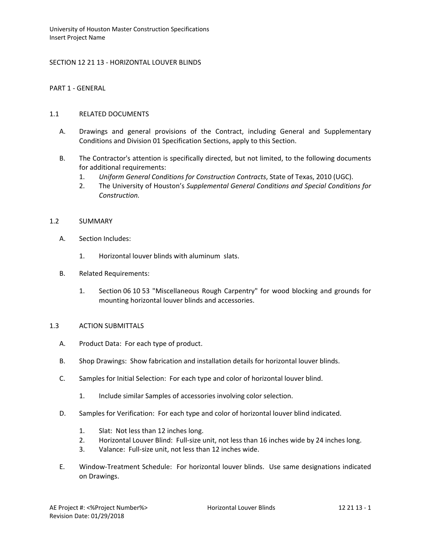SECTION 12 21 13 - HORIZONTAL LOUVER BLINDS

PART 1 - GENERAL

### 1.1 RELATED DOCUMENTS

- A. Drawings and general provisions of the Contract, including General and Supplementary Conditions and Division 01 Specification Sections, apply to this Section.
- B. The Contractor's attention is specifically directed, but not limited, to the following documents for additional requirements:
	- 1. *Uniform General Conditions for Construction Contracts*, State of Texas, 2010 (UGC).
	- 2. The University of Houston's *Supplemental General Conditions and Special Conditions for Construction.*

### 1.2 SUMMARY

- A. Section Includes:
	- 1. Horizontal louver blinds with aluminum slats.
- B. Related Requirements:
	- 1. Section 06 10 53 "Miscellaneous Rough Carpentry" for wood blocking and grounds for mounting horizontal louver blinds and accessories.

## 1.3 ACTION SUBMITTALS

- A. Product Data: For each type of product.
- B. Shop Drawings: Show fabrication and installation details for horizontal louver blinds.
- C. Samples for Initial Selection: For each type and color of horizontal louver blind.
	- 1. Include similar Samples of accessories involving color selection.
- D. Samples for Verification: For each type and color of horizontal louver blind indicated.
	- 1. Slat: Not less than 12 inches long.
	- 2. Horizontal Louver Blind: Full-size unit, not less than 16 inches wide by 24 inches long.
	- 3. Valance: Full-size unit, not less than 12 inches wide.
- E. Window-Treatment Schedule: For horizontal louver blinds. Use same designations indicated on Drawings.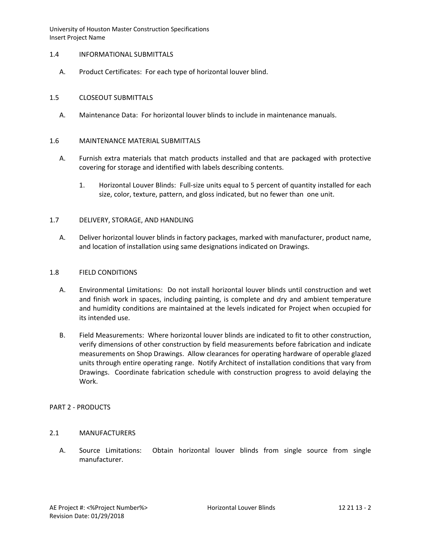## 1.4 INFORMATIONAL SUBMITTALS

A. Product Certificates: For each type of horizontal louver blind.

# 1.5 CLOSEOUT SUBMITTALS

A. Maintenance Data: For horizontal louver blinds to include in maintenance manuals.

## 1.6 MAINTENANCE MATERIAL SUBMITTALS

- A. Furnish extra materials that match products installed and that are packaged with protective covering for storage and identified with labels describing contents.
	- 1. Horizontal Louver Blinds: Full-size units equal to 5 percent of quantity installed for each size, color, texture, pattern, and gloss indicated, but no fewer than one unit.

## 1.7 DELIVERY, STORAGE, AND HANDLING

A. Deliver horizontal louver blinds in factory packages, marked with manufacturer, product name, and location of installation using same designations indicated on Drawings.

#### 1.8 FIELD CONDITIONS

- A. Environmental Limitations: Do not install horizontal louver blinds until construction and wet and finish work in spaces, including painting, is complete and dry and ambient temperature and humidity conditions are maintained at the levels indicated for Project when occupied for its intended use.
- B. Field Measurements: Where horizontal louver blinds are indicated to fit to other construction, verify dimensions of other construction by field measurements before fabrication and indicate measurements on Shop Drawings. Allow clearances for operating hardware of operable glazed units through entire operating range. Notify Architect of installation conditions that vary from Drawings. Coordinate fabrication schedule with construction progress to avoid delaying the Work.

#### PART 2 - PRODUCTS

# 2.1 MANUFACTURERS

A. Source Limitations: Obtain horizontal louver blinds from single source from single manufacturer.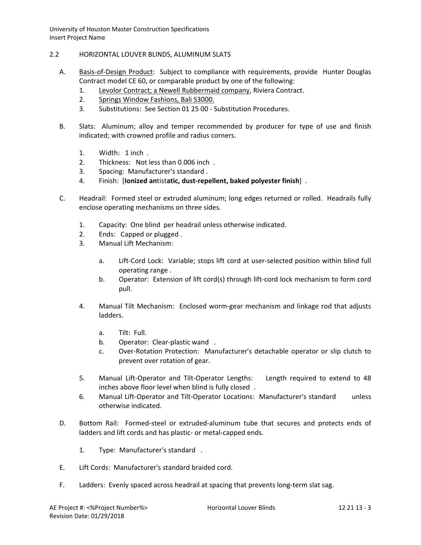- 2.2 HORIZONTAL LOUVER BLINDS, ALUMINUM SLATS
	- A. [Basis-of-Design Product:](http://www.specagent.com/LookUp/?ulid=5227&mf=04&src=wd) Subject to compliance with requirements, provide Hunter Douglas Contract model CE 60, or comparable product by one of the following:
		- 1. [Levolor Contract; a Newell Rubbermaid company,](http://www.specagent.com/LookUp/?uid=123456816629&mf=04&src=wd) Riviera Contract.
		- 2. [Springs Window Fashions, Bali S3000.](http://www.specagent.com/LookUp/?uid=123456816631&mf=04&src=wd)
		- 3. Substitutions: See Section 01 25 00 Substitution Procedures.
	- B. Slats: Aluminum; alloy and temper recommended by producer for type of use and finish indicated; with crowned profile and radius corners.
		- 1. Width: 1 inch .
		- 2. Thickness: Not less than 0.006 inch .
		- 3. Spacing: Manufacturer's standard .
		- 4. Finish: [**Ionized an**tist**atic, dust-repellent, baked polyester finish**] .
	- C. Headrail: Formed steel or extruded aluminum; long edges returned or rolled. Headrails fully enclose operating mechanisms on three sides.
		- 1. Capacity: One blind per headrail unless otherwise indicated.
		- 2. Ends: Capped or plugged .
		- 3. Manual Lift Mechanism:
			- a. Lift-Cord Lock: Variable; stops lift cord at user-selected position within blind full operating range .
			- b. Operator: Extension of lift cord(s) through lift-cord lock mechanism to form cord pull.
		- 4. Manual Tilt Mechanism: Enclosed worm-gear mechanism and linkage rod that adjusts ladders.
			- a. Tilt: Full.
			- b. Operator: Clear-plastic wand .
			- c. Over-Rotation Protection: Manufacturer's detachable operator or slip clutch to prevent over rotation of gear.
		- 5. Manual Lift-Operator and Tilt-Operator Lengths: Length required to extend to 48 inches above floor level when blind is fully closed .
		- 6. Manual Lift-Operator and Tilt-Operator Locations: Manufacturer's standard unless otherwise indicated.
	- D. Bottom Rail: Formed-steel or extruded-aluminum tube that secures and protects ends of ladders and lift cords and has plastic- or metal-capped ends.
		- 1. Type: Manufacturer's standard .
	- E. Lift Cords: Manufacturer's standard braided cord.
	- F. Ladders: Evenly spaced across headrail at spacing that prevents long-term slat sag.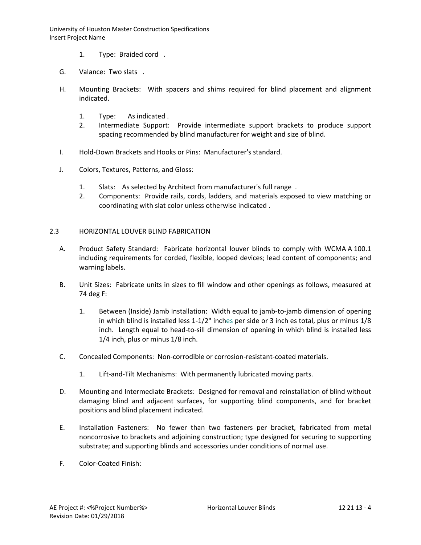- 1. Type: Braided cord .
- G. Valance: Two slats .
- H. Mounting Brackets: With spacers and shims required for blind placement and alignment indicated.
	- 1. Type: As indicated .
	- 2. Intermediate Support: Provide intermediate support brackets to produce support spacing recommended by blind manufacturer for weight and size of blind.
- I. Hold-Down Brackets and Hooks or Pins: Manufacturer's standard.
- J. Colors, Textures, Patterns, and Gloss:
	- 1. Slats: As selected by Architect from manufacturer's full range .
	- 2. Components: Provide rails, cords, ladders, and materials exposed to view matching or coordinating with slat color unless otherwise indicated .

# 2.3 HORIZONTAL LOUVER BLIND FABRICATION

- A. Product Safety Standard: Fabricate horizontal louver blinds to comply with WCMA A 100.1 including requirements for corded, flexible, looped devices; lead content of components; and warning labels.
- B. Unit Sizes: Fabricate units in sizes to fill window and other openings as follows, measured at 74 deg F:
	- 1. Between (Inside) Jamb Installation: Width equal to jamb-to-jamb dimension of opening in which blind is installed less 1-1/2" inches per side or 3 inch es total, plus or minus 1/8 inch. Length equal to head-to-sill dimension of opening in which blind is installed less 1/4 inch, plus or minus 1/8 inch.
- C. Concealed Components: Non-corrodible or corrosion-resistant-coated materials.
	- 1. Lift-and-Tilt Mechanisms: With permanently lubricated moving parts.
- D. Mounting and Intermediate Brackets: Designed for removal and reinstallation of blind without damaging blind and adjacent surfaces, for supporting blind components, and for bracket positions and blind placement indicated.
- E. Installation Fasteners: No fewer than two fasteners per bracket, fabricated from metal noncorrosive to brackets and adjoining construction; type designed for securing to supporting substrate; and supporting blinds and accessories under conditions of normal use.
- F. Color-Coated Finish: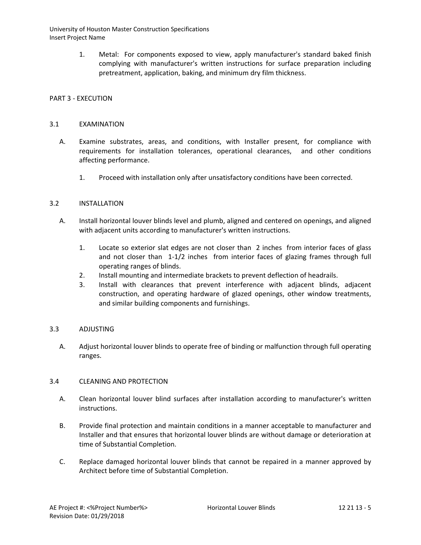> 1. Metal: For components exposed to view, apply manufacturer's standard baked finish complying with manufacturer's written instructions for surface preparation including pretreatment, application, baking, and minimum dry film thickness.

# PART 3 - EXECUTION

## 3.1 EXAMINATION

- A. Examine substrates, areas, and conditions, with Installer present, for compliance with requirements for installation tolerances, operational clearances, and other conditions affecting performance.
	- 1. Proceed with installation only after unsatisfactory conditions have been corrected.

## 3.2 INSTALLATION

- A. Install horizontal louver blinds level and plumb, aligned and centered on openings, and aligned with adjacent units according to manufacturer's written instructions.
	- 1. Locate so exterior slat edges are not closer than 2 inches from interior faces of glass and not closer than 1-1/2 inches from interior faces of glazing frames through full operating ranges of blinds.
	- 2. Install mounting and intermediate brackets to prevent deflection of headrails.
	- 3. Install with clearances that prevent interference with adjacent blinds, adjacent construction, and operating hardware of glazed openings, other window treatments, and similar building components and furnishings.

# 3.3 ADJUSTING

A. Adjust horizontal louver blinds to operate free of binding or malfunction through full operating ranges.

#### 3.4 CLEANING AND PROTECTION

- A. Clean horizontal louver blind surfaces after installation according to manufacturer's written instructions.
- B. Provide final protection and maintain conditions in a manner acceptable to manufacturer and Installer and that ensures that horizontal louver blinds are without damage or deterioration at time of Substantial Completion.
- C. Replace damaged horizontal louver blinds that cannot be repaired in a manner approved by Architect before time of Substantial Completion.